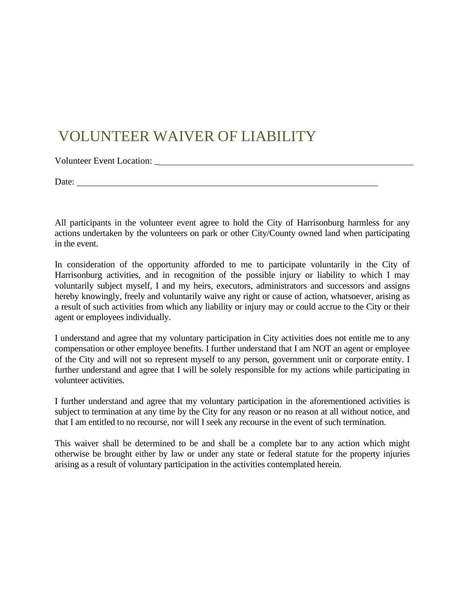## VOLUNTEER WAIVER OF LIABILITY

Volunteer Event Location: \_

Date:

All participants in the volunteer event agree to hold the City of Harrisonburg harmless for any actions undertaken by the volunteers on park or other City/County owned land when participating in the event.

In consideration of the opportunity afforded to me to participate voluntarily in the City of Harrisonburg activities, and in recognition of the possible injury or liability to which I may voluntarily subject myself, I and my heirs, executors, administrators and successors and assigns hereby knowingly, freely and voluntarily waive any right or cause of action, whatsoever, arising as a result of such activities from which any liability or injury may or could accrue to the City or their agent or employees individually.

I understand and agree that my voluntary participation in City activities does not entitle me to any compensation or other employee benefits. I further understand that I am NOT an agent or employee of the City and will not so represent myself to any person, government unit or corporate entity. I further understand and agree that I will be solely responsible for my actions while participating in volunteer activities.

I further understand and agree that my voluntary participation in the aforementioned activities is subject to termination at any time by the City for any reason or no reason at all without notice, and that I am entitled to no recourse, nor will I seek any recourse in the event of such termination.

This waiver shall be determined to be and shall be a complete bar to any action which might otherwise be brought either by law or under any state or federal statute for the property injuries arising as a result of voluntary participation in the activities contemplated herein.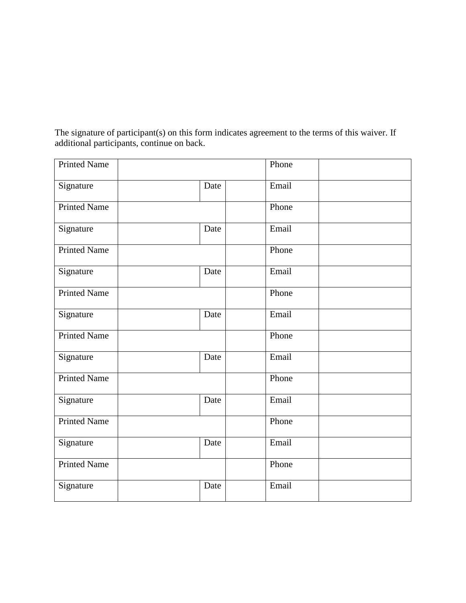The signature of participant(s) on this form indicates agreement to the terms of this waiver. If additional participants, continue on back.

| <b>Printed Name</b> |      | Phone |  |
|---------------------|------|-------|--|
| Signature           | Date | Email |  |
| <b>Printed Name</b> |      | Phone |  |
| Signature           | Date | Email |  |
| <b>Printed Name</b> |      | Phone |  |
| Signature           | Date | Email |  |
| Printed Name        |      | Phone |  |
| Signature           | Date | Email |  |
| <b>Printed Name</b> |      | Phone |  |
| Signature           | Date | Email |  |
| <b>Printed Name</b> |      | Phone |  |
| Signature           | Date | Email |  |
| <b>Printed Name</b> |      | Phone |  |
| Signature           | Date | Email |  |
| <b>Printed Name</b> |      | Phone |  |
| Signature           | Date | Email |  |
|                     |      |       |  |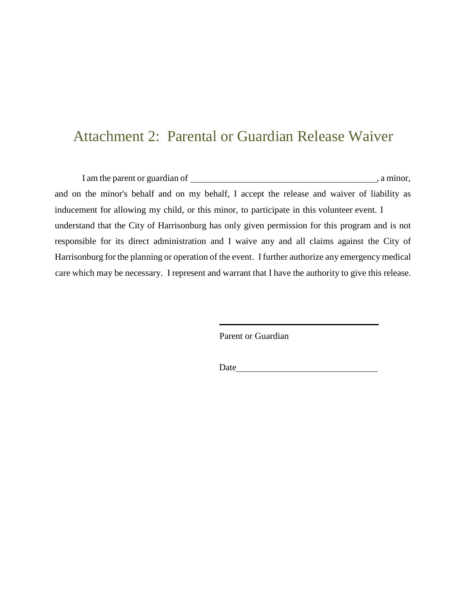## Attachment 2: Parental or Guardian Release Waiver

I am the parent or guardian of , a minor, and on the minor's behalf and on my behalf, I accept the release and waiver of liability as inducement for allowing my child, or this minor, to participate in this volunteer event. I understand that the City of Harrisonburg has only given permission for this program and is not responsible for its direct administration and I waive any and all claims against the City of Harrisonburg for the planning or operation of the event. I further authorize any emergency medical care which may be necessary. I represent and warrant that I have the authority to give this release.

Parent or Guardian

Date